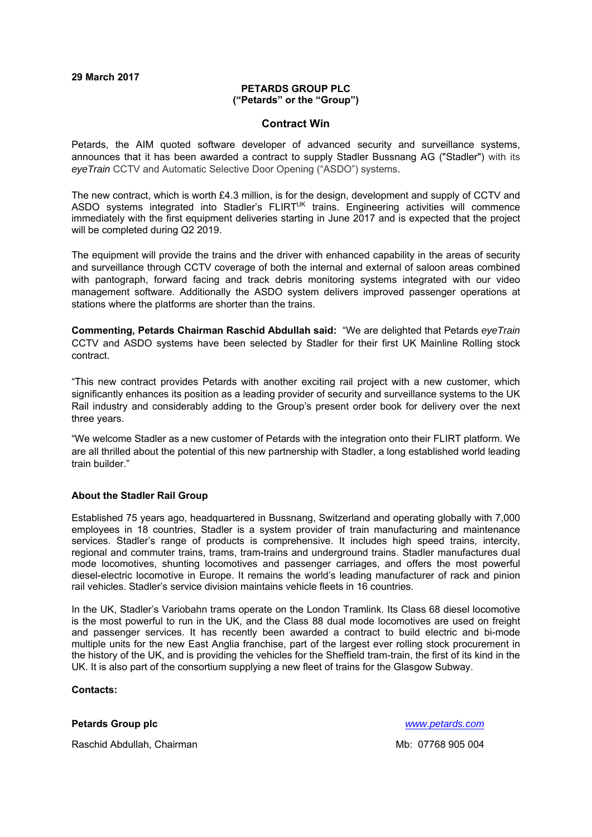### **29 March 2017**

#### **PETARDS GROUP PLC ("Petards" or the "Group")**

#### **Contract Win**

Petards, the AIM quoted software developer of advanced security and surveillance systems, announces that it has been awarded a contract to supply Stadler Bussnang AG ("Stadler") with its *eyeTrain* CCTV and Automatic Selective Door Opening ("ASDO") systems.

The new contract, which is worth £4.3 million, is for the design, development and supply of CCTV and ASDO systems integrated into Stadler's FLIRT<sup>UK</sup> trains. Engineering activities will commence immediately with the first equipment deliveries starting in June 2017 and is expected that the project will be completed during Q2 2019.

The equipment will provide the trains and the driver with enhanced capability in the areas of security and surveillance through CCTV coverage of both the internal and external of saloon areas combined with pantograph, forward facing and track debris monitoring systems integrated with our video management software. Additionally the ASDO system delivers improved passenger operations at stations where the platforms are shorter than the trains.

**Commenting, Petards Chairman Raschid Abdullah said:** "We are delighted that Petards *eyeTrain* CCTV and ASDO systems have been selected by Stadler for their first UK Mainline Rolling stock contract.

"This new contract provides Petards with another exciting rail project with a new customer, which significantly enhances its position as a leading provider of security and surveillance systems to the UK Rail industry and considerably adding to the Group's present order book for delivery over the next three years.

"We welcome Stadler as a new customer of Petards with the integration onto their FLIRT platform. We are all thrilled about the potential of this new partnership with Stadler, a long established world leading train builder."

## **About the Stadler Rail Group**

Established 75 years ago, headquartered in Bussnang, Switzerland and operating globally with 7,000 employees in 18 countries, Stadler is a system provider of train manufacturing and maintenance services. Stadler's range of products is comprehensive. It includes high speed trains, intercity, regional and commuter trains, trams, tram-trains and underground trains. Stadler manufactures dual mode locomotives, shunting locomotives and passenger carriages, and offers the most powerful diesel-electric locomotive in Europe. It remains the world's leading manufacturer of rack and pinion rail vehicles. Stadler's service division maintains vehicle fleets in 16 countries.

In the UK, Stadler's Variobahn trams operate on the London Tramlink. Its Class 68 diesel locomotive is the most powerful to run in the UK, and the Class 88 dual mode locomotives are used on freight and passenger services. It has recently been awarded a contract to build electric and bi-mode multiple units for the new East Anglia franchise, part of the largest ever rolling stock procurement in the history of the UK, and is providing the vehicles for the Sheffield tram-train, the first of its kind in the UK. It is also part of the consortium supplying a new fleet of trains for the Glasgow Subway.

### **Contacts:**

## **Petards Group plc** *www.petards.com*

Raschid Abdullah, Chairman Mb: 07768 905 004